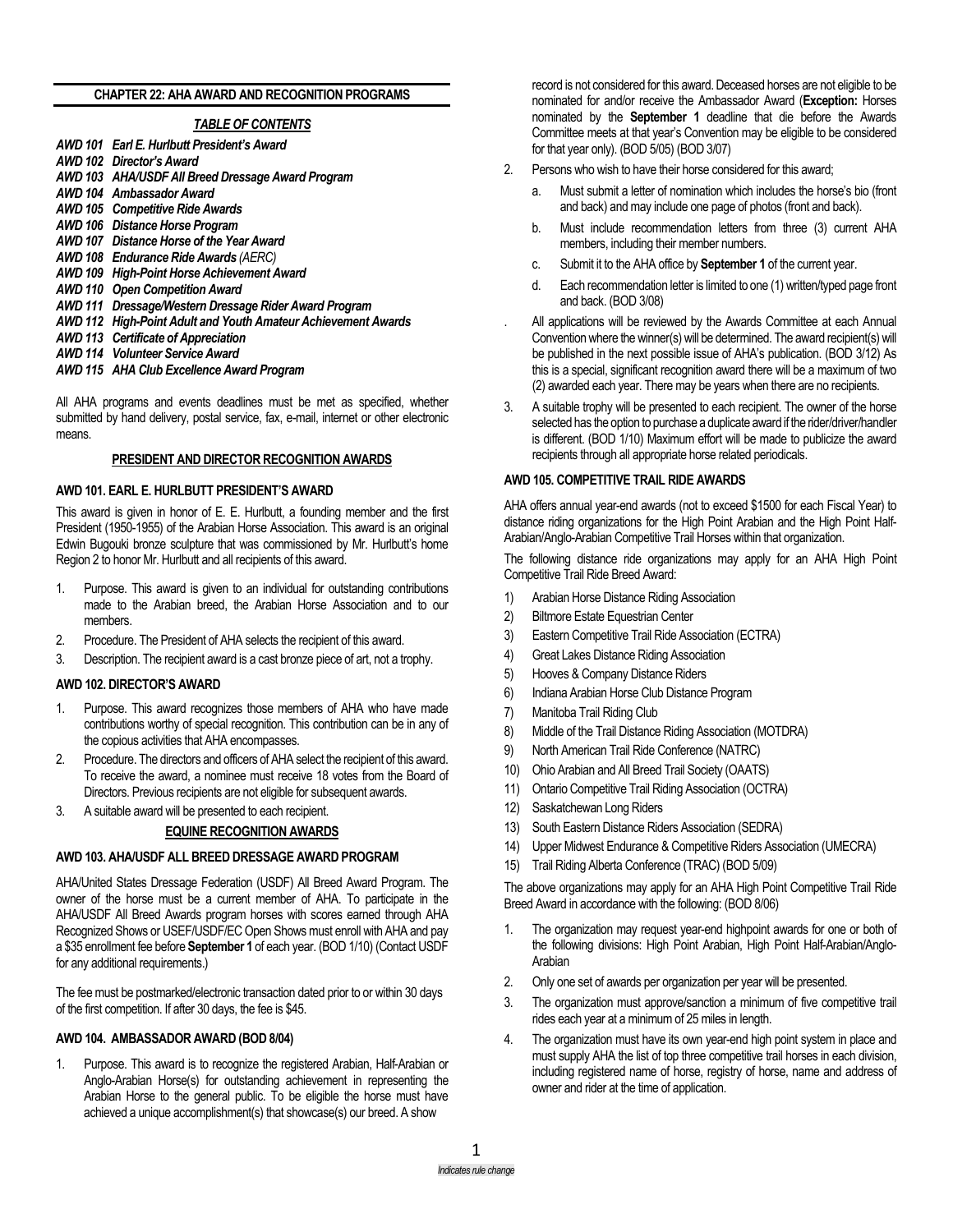#### **CHAPTER 22: AHA AWARD AND RECOGNITION PROGRAMS**

#### *TABLE OF CONTENTS*

- *AWD 101 Earl E. Hurlbutt President's Award*
- *AWD 102 Director's Award*
- *AWD 103 AHA/USDF All Breed Dressage Award Program*
- *AWD 104 Ambassador Award*
- *AWD 105 Competitive Ride Awards*
- *AWD 106 Distance Horse Program*
- *AWD 107 Distance Horse of the Year Award*
- *AWD 108 Endurance Ride Awards (AERC)*
- *AWD 109 High-Point Horse Achievement Award*
- *AWD 110 Open Competition Award*
- *AWD 111 Dressage/Western Dressage Rider Award Program*
- *AWD 112 High-Point Adult and Youth Amateur Achievement Awards*
- *AWD 113 Certificate of Appreciation*
- *AWD 114 Volunteer Service Award*
- *AWD 115 AHA Club Excellence Award Program*

All AHA programs and events deadlines must be met as specified, whether submitted by hand delivery, postal service, fax, e-mail, internet or other electronic means.

#### **PRESIDENT AND DIRECTOR RECOGNITION AWARDS**

#### **AWD 101. EARL E. HURLBUTT PRESIDENT'S AWARD**

This award is given in honor of E. E. Hurlbutt, a founding member and the first President (1950-1955) of the Arabian Horse Association. This award is an original Edwin Bugouki bronze sculpture that was commissioned by Mr. Hurlbutt's home Region 2 to honor Mr. Hurlbutt and all recipients of this award.

- 1. Purpose. This award is given to an individual for outstanding contributions made to the Arabian breed, the Arabian Horse Association and to our members.
- 2. Procedure. The President of AHA selects the recipient of this award.
- 3. Description. The recipient award is a cast bronze piece of art, not a trophy.

#### **AWD 102. DIRECTOR'S AWARD**

- 1. Purpose. This award recognizes those members of AHA who have made contributions worthy of special recognition. This contribution can be in any of the copious activities that AHA encompasses.
- 2. Procedure. The directors and officers of AHA select the recipient of this award. To receive the award, a nominee must receive 18 votes from the Board of Directors. Previous recipients are not eligible for subsequent awards.
- 3. A suitable award will be presented to each recipient.

#### **EQUINE RECOGNITION AWARDS**

#### **AWD 103. AHA/USDF ALL BREED DRESSAGE AWARD PROGRAM**

AHA/United States Dressage Federation (USDF) All Breed Award Program. The owner of the horse must be a current member of AHA. To participate in the AHA/USDF All Breed Awards program horses with scores earned through AHA Recognized Shows or USEF/USDF/EC Open Shows must enroll with AHA and pay a \$35 enrollment fee before **September 1** of each year. (BOD 1/10) (Contact USDF for any additional requirements.)

The fee must be postmarked/electronic transaction dated prior to or within 30 days of the first competition. If after 30 days, the fee is \$45.

#### **AWD 104. AMBASSADOR AWARD (BOD 8/04)**

1. Purpose. This award is to recognize the registered Arabian, Half-Arabian or Anglo-Arabian Horse(s) for outstanding achievement in representing the Arabian Horse to the general public. To be eligible the horse must have achieved a unique accomplishment(s) that showcase(s) our breed. A show

record is not considered for this award. Deceased horses are not eligible to be nominated for and/or receive the Ambassador Award (**Exception:** Horses nominated by the **September 1** deadline that die before the Awards Committee meets at that year's Convention may be eligible to be considered for that year only). (BOD 5/05) (BOD 3/07)

- 2. Persons who wish to have their horse considered for this award;
	- a. Must submit a letter of nomination which includes the horse's bio (front and back) and may include one page of photos (front and back).
	- b. Must include recommendation letters from three (3) current AHA members, including their member numbers.
	- c. Submit it to the AHA office by **September 1** of the current year.
	- d. Each recommendation letter is limited to one (1) written/typed page front and back. (BOD 3/08)
- . All applications will be reviewed by the Awards Committee at each Annual Convention where the winner(s) will be determined. The award recipient(s) will be published in the next possible issue of AHA's publication. (BOD 3/12) As this is a special, significant recognition award there will be a maximum of two (2) awarded each year. There may be years when there are no recipients.
- 3. A suitable trophy will be presented to each recipient. The owner of the horse selected has the option to purchase a duplicate award if the rider/driver/handler is different. (BOD 1/10) Maximum effort will be made to publicize the award recipients through all appropriate horse related periodicals.

#### **AWD 105. COMPETITIVE TRAIL RIDE AWARDS**

AHA offers annual year-end awards (not to exceed \$1500 for each Fiscal Year) to distance riding organizations for the High Point Arabian and the High Point Half-Arabian/Anglo-Arabian Competitive Trail Horses within that organization.

The following distance ride organizations may apply for an AHA High Point Competitive Trail Ride Breed Award:

- 1) Arabian Horse Distance Riding Association
- 2) Biltmore Estate Equestrian Center
- 3) Eastern Competitive Trail Ride Association (ECTRA)
- 4) Great Lakes Distance Riding Association
- 5) Hooves & Company Distance Riders
- 6) Indiana Arabian Horse Club Distance Program
- 7) Manitoba Trail Riding Club
- 8) Middle of the Trail Distance Riding Association (MOTDRA)
- 9) North American Trail Ride Conference (NATRC)
- 10) Ohio Arabian and All Breed Trail Society (OAATS)
- 11) Ontario Competitive Trail Riding Association (OCTRA)
- 12) Saskatchewan Long Riders
- 13) South Eastern Distance Riders Association (SEDRA)
- 14) Upper Midwest Endurance & Competitive Riders Association (UMECRA)
- 15) Trail Riding Alberta Conference (TRAC) (BOD 5/09)

The above organizations may apply for an AHA High Point Competitive Trail Ride Breed Award in accordance with the following: (BOD 8/06)

- 1. The organization may request year-end highpoint awards for one or both of the following divisions: High Point Arabian, High Point Half-Arabian/Anglo-Arabian
- 2. Only one set of awards per organization per year will be presented.
- 3. The organization must approve/sanction a minimum of five competitive trail rides each year at a minimum of 25 miles in length.
- 4. The organization must have its own year-end high point system in place and must supply AHA the list of top three competitive trail horses in each division, including registered name of horse, registry of horse, name and address of owner and rider at the time of application.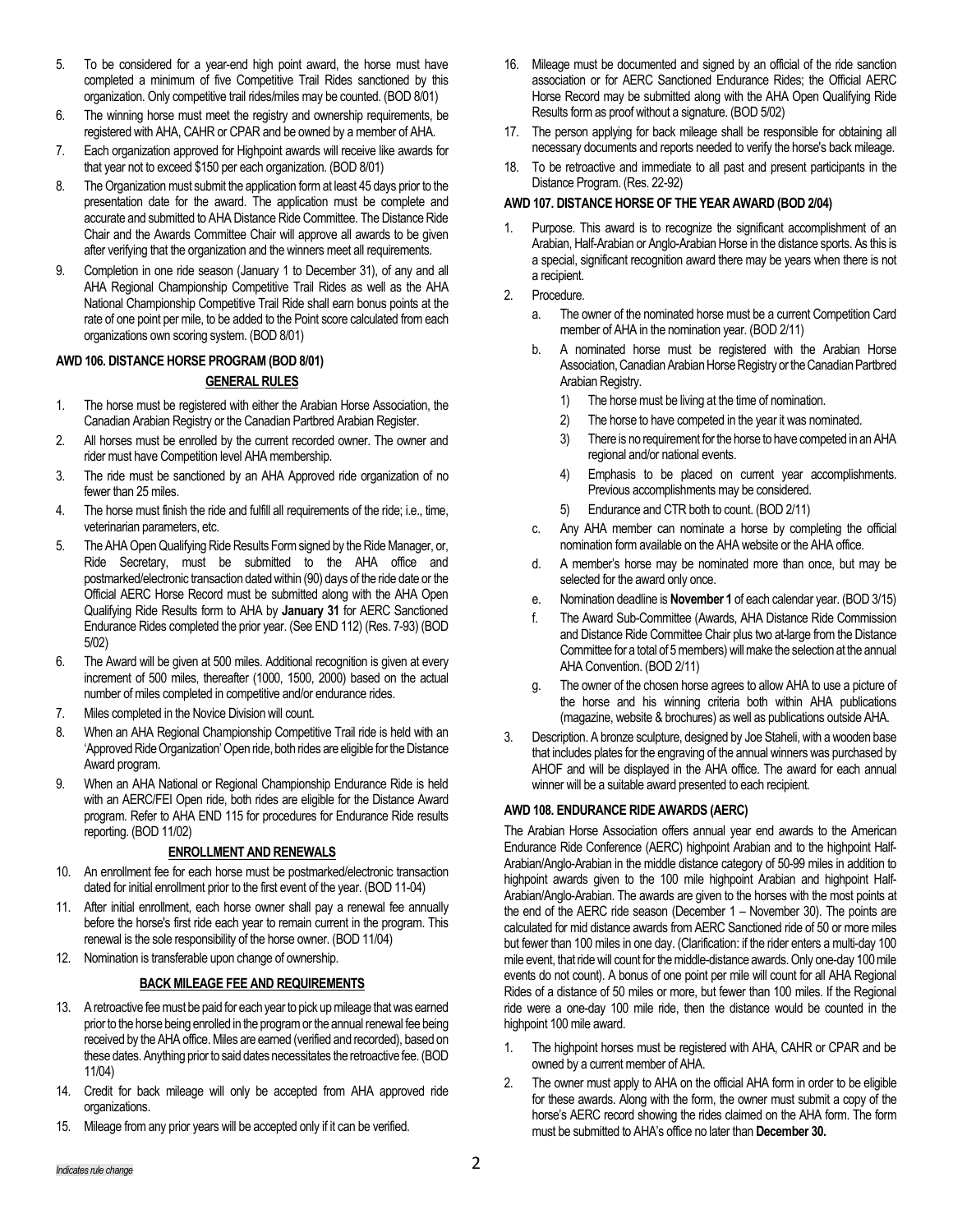- 5. To be considered for a year-end high point award, the horse must have completed a minimum of five Competitive Trail Rides sanctioned by this organization. Only competitive trail rides/miles may be counted. (BOD 8/01)
- 6. The winning horse must meet the registry and ownership requirements, be registered with AHA, CAHR or CPAR and be owned by a member of AHA.
- 7. Each organization approved for Highpoint awards will receive like awards for that year not to exceed \$150 per each organization. (BOD 8/01)
- 8. The Organization must submit the application form at least 45 days prior to the presentation date for the award. The application must be complete and accurate and submitted to AHA Distance Ride Committee. The Distance Ride Chair and the Awards Committee Chair will approve all awards to be given after verifying that the organization and the winners meet all requirements.
- 9. Completion in one ride season (January 1 to December 31), of any and all AHA Regional Championship Competitive Trail Rides as well as the AHA National Championship Competitive Trail Ride shall earn bonus points at the rate of one point per mile, to be added to the Point score calculated from each organizations own scoring system. (BOD 8/01)

# **AWD 106. DISTANCE HORSE PROGRAM(BOD 8/01)**

### **GENERAL RULES**

- 1. The horse must be registered with either the Arabian Horse Association, the Canadian Arabian Registry or the Canadian Partbred Arabian Register.
- 2. All horses must be enrolled by the current recorded owner. The owner and rider must have Competition level AHA membership.
- 3. The ride must be sanctioned by an AHA Approved ride organization of no fewer than 25 miles.
- 4. The horse must finish the ride and fulfill all requirements of the ride; i.e., time, veterinarian parameters, etc.
- 5. The AHA Open Qualifying Ride Results Form signed by the Ride Manager, or, Ride Secretary, must be submitted to the AHA office and postmarked/electronic transaction datedwithin (90) days of the ride date or the Official AERC Horse Record must be submitted along with the AHA Open Qualifying Ride Results form to AHA by **January 31** for AERC Sanctioned Endurance Rides completed the prior year. (See END 112) (Res. 7-93) (BOD 5/02)
- 6. The Award will be given at 500 miles. Additional recognition is given at every increment of 500 miles, thereafter (1000, 1500, 2000) based on the actual number of miles completed in competitive and/or endurance rides.
- 7. Miles completed in the Novice Division will count.
- 8. When an AHA Regional Championship Competitive Trail ride is held with an 'Approved Ride Organization' Open ride, both rides are eligible for the Distance Award program.
- 9. When an AHA National or Regional Championship Endurance Ride is held with an AERC/FEI Open ride, both rides are eligible for the Distance Award program. Refer to AHA END 115 for procedures for Endurance Ride results reporting. (BOD 11/02)

#### **ENROLLMENT AND RENEWALS**

- 10. An enrollment fee for each horse must be postmarked/electronic transaction dated for initial enrollment prior to the first event of the year. (BOD 11-04)
- 11. After initial enrollment, each horse owner shall pay a renewal fee annually before the horse's first ride each year to remain current in the program. This renewal is the sole responsibility of the horse owner. (BOD 11/04)
- 12. Nomination is transferable upon change of ownership.

# **BACK MILEAGE FEE AND REQUIREMENTS**

- 13. A retroactive fee must be paid for each year to pick up mileage that was earned prior to the horse being enrolled in the program or the annual renewal fee being received by the AHA office. Miles are earned (verified and recorded), based on these dates. Anything prior to said dates necessitates the retroactive fee. (BOD 11/04)
- 14. Credit for back mileage will only be accepted from AHA approved ride organizations.
- 15. Mileage from any prior years will be accepted only if it can be verified.
- 16. Mileage must be documented and signed by an official of the ride sanction association or for AERC Sanctioned Endurance Rides; the Official AERC Horse Record may be submitted along with the AHA Open Qualifying Ride Results form as proof without a signature. (BOD 5/02)
- 17. The person applying for back mileage shall be responsible for obtaining all necessary documents and reports needed to verify the horse's back mileage.
- 18. To be retroactive and immediate to all past and present participants in the Distance Program. (Res. 22-92)

### **AWD 107. DISTANCE HORSE OF THE YEAR AWARD (BOD 2/04)**

- 1. Purpose. This award is to recognize the significant accomplishment of an Arabian, Half-Arabian or Anglo-Arabian Horse in the distance sports. As this is a special, significant recognition award there may be years when there is not a recipient.
- 2. Procedure.
	- a. The owner of the nominated horse must be a current Competition Card member of AHA in the nomination year. (BOD 2/11)
	- b. A nominated horse must be registered with the Arabian Horse Association, Canadian Arabian Horse Registry or the Canadian Partbred Arabian Registry.
		- 1) The horse must be living at the time of nomination.
		- 2) The horse to have competed in the year it was nominated.
		- 3) There is no requirement for the horse to have competed in an AHA regional and/or national events.
		- 4) Emphasis to be placed on current year accomplishments. Previous accomplishments may be considered.
		- 5) Endurance and CTR both to count. (BOD 2/11)
	- c. Any AHA member can nominate a horse by completing the official nomination form available on the AHA website or the AHA office.
	- d. A member's horse may be nominated more than once, but may be selected for the award only once.
	- e. Nomination deadline is **November 1** of each calendar year. (BOD 3/15)
	- f. The Award Sub-Committee (Awards, AHA Distance Ride Commission and Distance Ride Committee Chair plus two at-large from the Distance Committee for a total of 5 members) will make the selection at the annual AHA Convention. (BOD 2/11)
	- g. The owner of the chosen horse agrees to allow AHA to use a picture of the horse and his winning criteria both within AHA publications (magazine, website & brochures) as well as publications outside AHA.
- 3. Description. A bronze sculpture, designed by Joe Staheli, with a wooden base that includes plates for the engraving of the annual winners was purchased by AHOF and will be displayed in the AHA office. The award for each annual winner will be a suitable award presented to each recipient.

# **AWD 108. ENDURANCE RIDE AWARDS (AERC)**

The Arabian Horse Association offers annual year end awards to the American Endurance Ride Conference (AERC) highpoint Arabian and to the highpoint Half-Arabian/Anglo-Arabian in the middle distance category of 50-99 miles in addition to highpoint awards given to the 100 mile highpoint Arabian and highpoint Half-Arabian/Anglo-Arabian. The awards are given to the horses with the most points at the end of the AERC ride season (December 1 – November 30). The points are calculated for mid distance awards from AERC Sanctioned ride of 50 or more miles but fewer than 100 miles in one day. (Clarification: if the rider enters a multi-day 100 mile event, that ride will count for the middle-distance awards. Only one-day 100 mile events do not count). A bonus of one point per mile will count for all AHA Regional Rides of a distance of 50 miles or more, but fewer than 100 miles. If the Regional ride were a one-day 100 mile ride, then the distance would be counted in the highpoint 100 mile award.

- 1. The highpoint horses must be registered with AHA, CAHR or CPAR and be owned by a current member of AHA.
- 2. The owner must apply to AHA on the official AHA form in order to be eligible for these awards. Along with the form, the owner must submit a copy of the horse's AERC record showing the rides claimed on the AHA form. The form must be submitted to AHA's office no later than **December 30.**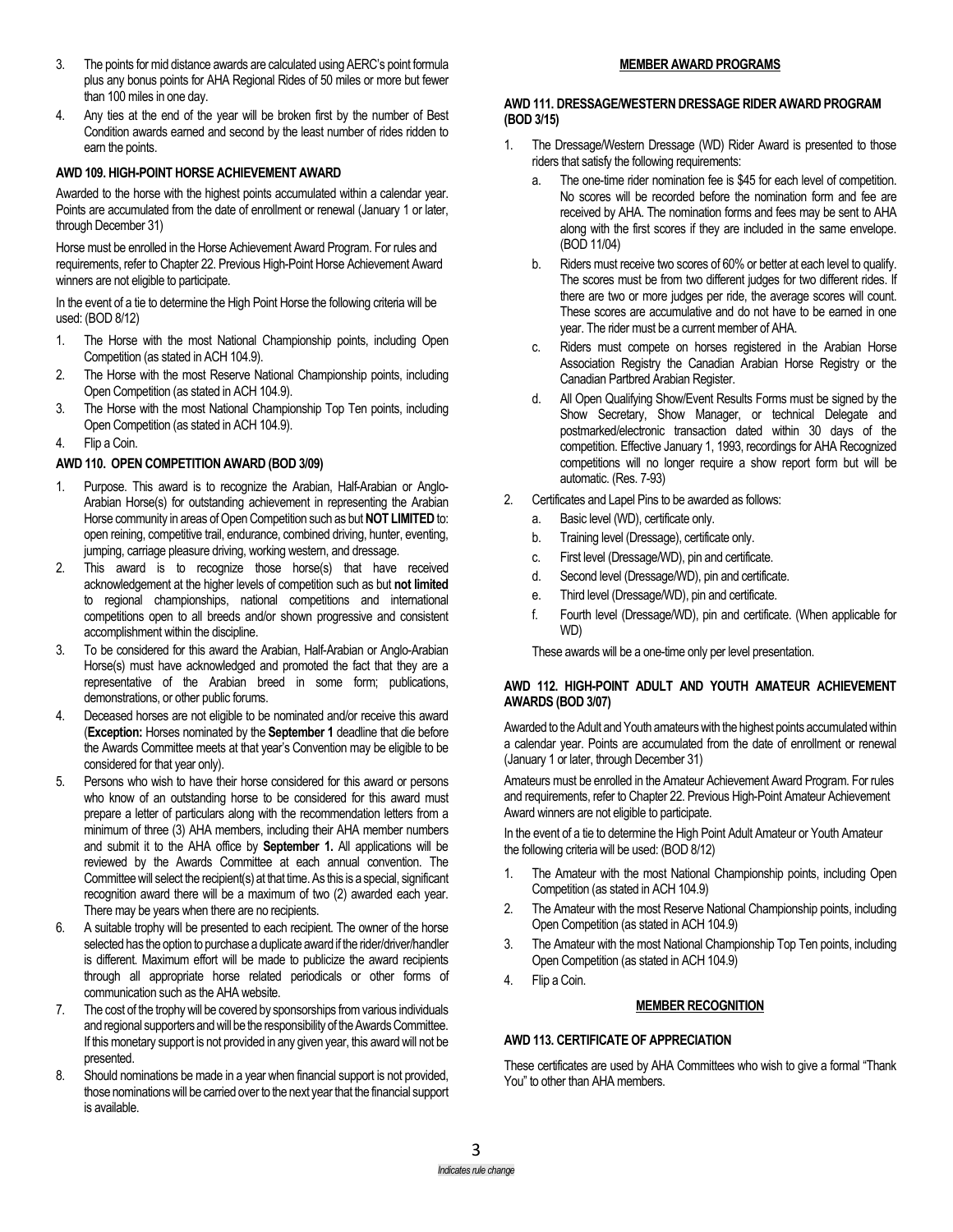- 3. The points for mid distance awards are calculated using AERC's point formula plus any bonus points for AHA Regional Rides of 50 miles or more but fewer than 100 miles in one day.
- 4. Any ties at the end of the year will be broken first by the number of Best Condition awards earned and second by the least number of rides ridden to earn the points.

### **AWD 109. HIGH-POINT HORSE ACHIEVEMENT AWARD**

Awarded to the horse with the highest points accumulated within a calendar year. Points are accumulated from the date of enrollment or renewal (January 1 or later, through December 31)

Horse must be enrolled in the Horse Achievement Award Program. For rules and requirements, refer to Chapter 22. Previous High-Point Horse Achievement Award winners are not eligible to participate.

In the event of a tie to determine the High Point Horse the following criteria will be used: (BOD 8/12)

- 1. The Horse with the most National Championship points, including Open Competition (as stated in ACH 104.9).
- 2. The Horse with the most Reserve National Championship points, including Open Competition (as stated in ACH 104.9).
- 3. The Horse with the most National Championship Top Ten points, including Open Competition (as stated in ACH 104.9).
- 4. Flip a Coin.

#### **AWD 110. OPEN COMPETITION AWARD (BOD 3/09)**

- 1. Purpose. This award is to recognize the Arabian, Half-Arabian or Anglo-Arabian Horse(s) for outstanding achievement in representing the Arabian Horse community in areas of OpenCompetition such as but **NOT LIMITED**to: open reining, competitive trail, endurance, combined driving, hunter, eventing, jumping, carriage pleasure driving, working western, and dressage.
- 2. This award is to recognize those horse(s) that have received acknowledgement at the higher levels of competition such as but **not limited** to regional championships, national competitions and international competitions open to all breeds and/or shown progressive and consistent accomplishment within the discipline.
- 3. To be considered for this award the Arabian, Half-Arabian or Anglo-Arabian Horse(s) must have acknowledged and promoted the fact that they are a representative of the Arabian breed in some form; publications, demonstrations, or other public forums.
- 4. Deceased horses are not eligible to be nominated and/or receive this award (**Exception:** Horses nominated by the **September 1** deadline that die before the Awards Committee meets at that year's Convention may be eligible to be considered for that year only).
- 5. Persons who wish to have their horse considered for this award or persons who know of an outstanding horse to be considered for this award must prepare a letter of particulars along with the recommendation letters from a minimum of three (3) AHA members, including their AHA member numbers and submit it to the AHA office by **September 1.** All applications will be reviewed by the Awards Committee at each annual convention. The Committee will select the recipient(s) at that time. As this is a special, significant recognition award there will be a maximum of two (2) awarded each year. There may be years when there are no recipients.
- 6. A suitable trophy will be presented to each recipient. The owner of the horse selected has the option to purchase a duplicate award if the rider/driver/handler is different. Maximum effort will be made to publicize the award recipients through all appropriate horse related periodicals or other forms of communication such as the AHA website.
- 7. The cost of the trophy will be covered by sponsorships from various individuals and regional supporters and will be the responsibility of the Awards Committee. If this monetary support is not provided in any given year, this award will not be presented.
- 8. Should nominations be made in a year when financial support is not provided, those nominations will be carried over to the next year that the financial support is available.

#### **MEMBER AWARD PROGRAMS**

#### **AWD 111. DRESSAGE/WESTERN DRESSAGE RIDER AWARD PROGRAM (BOD 3/15)**

- 1. The Dressage/Western Dressage (WD) Rider Award is presented to those riders that satisfy the following requirements:
	- a. The one-time rider nomination fee is \$45 for each level of competition. No scores will be recorded before the nomination form and fee are received by AHA. The nomination forms and fees may be sent to AHA along with the first scores if they are included in the same envelope. (BOD 11/04)
	- b. Riders must receive two scores of 60% or better at each level to qualify. The scores must be from two different judges for two different rides. If there are two or more judges per ride, the average scores will count. These scores are accumulative and do not have to be earned in one year. The rider must be a current member of AHA.
	- c. Riders must compete on horses registered in the Arabian Horse Association Registry the Canadian Arabian Horse Registry or the Canadian Partbred Arabian Register.
	- d. All Open Qualifying Show/Event Results Forms must be signed by the Show Secretary, Show Manager, or technical Delegate and postmarked/electronic transaction dated within 30 days of the competition. Effective January 1, 1993, recordings for AHA Recognized competitions will no longer require a show report form but will be automatic. (Res. 7-93)
- 2. Certificates and Lapel Pins to be awarded as follows:
	- a. Basic level (WD), certificate only.
	- b. Training level (Dressage), certificate only.
	- c. First level (Dressage/WD), pin and certificate.
	- d. Second level (Dressage/WD), pin and certificate.
	- e. Third level (Dressage/WD), pin and certificate.
	- f. Fourth level (Dressage/WD), pin and certificate. (When applicable for WD)

These awards will be a one-time only per level presentation.

#### **AWD 112. HIGH-POINT ADULT AND YOUTH AMATEUR ACHIEVEMENT AWARDS (BOD 3/07)**

Awarded to the Adult and Youth amateurs with the highest points accumulated within a calendar year. Points are accumulated from the date of enrollment or renewal (January 1 or later, through December 31)

Amateurs must be enrolled in the Amateur Achievement Award Program. For rules and requirements, refer to Chapter 22. Previous High-Point Amateur Achievement Award winners are not eligible to participate.

In the event of a tie to determine the High Point Adult Amateur or Youth Amateur the following criteria will be used: (BOD 8/12)

- 1. The Amateur with the most National Championship points, including Open Competition (as stated in ACH 104.9)
- 2. The Amateur with the most Reserve National Championship points, including Open Competition (as stated in ACH 104.9)
- 3. The Amateur with the most National Championship Top Ten points, including Open Competition (as stated in ACH 104.9)
- 4. Flip a Coin.

#### **MEMBER RECOGNITION**

#### **AWD 113. CERTIFICATE OF APPRECIATION**

These certificates are used by AHA Committees who wish to give a formal "Thank You" to other than AHA members.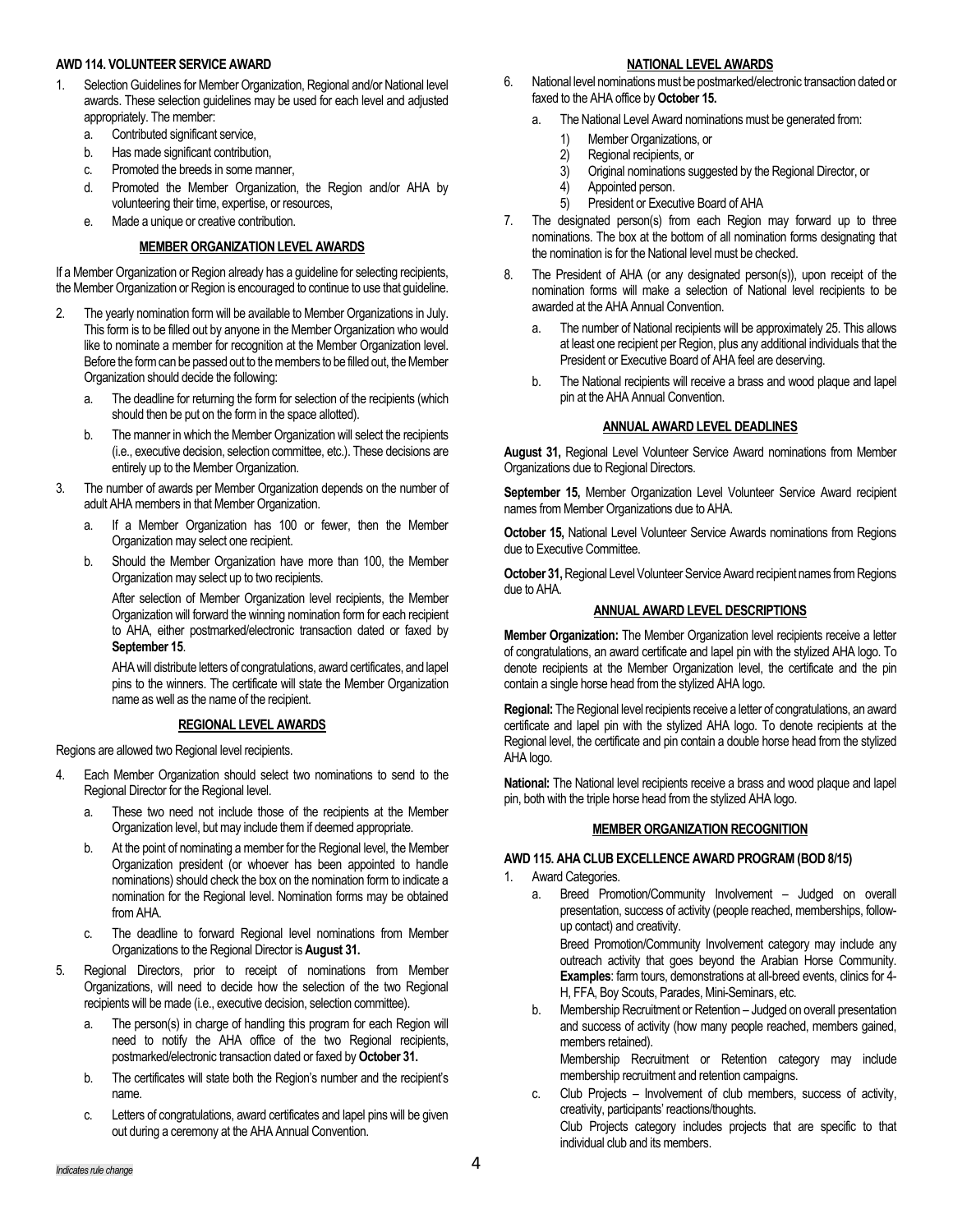### **AWD 114. VOLUNTEER SERVICE AWARD**

- 1. Selection Guidelines for Member Organization, Regional and/or National level awards. These selection guidelines may be used for each level and adjusted appropriately. The member:
	- a. Contributed significant service,
	- b. Has made significant contribution,
	- c. Promoted the breeds in some manner,
	- d. Promoted the Member Organization, the Region and/or AHA by volunteering their time, expertise, or resources,
	- e. Made a unique or creative contribution.

# **MEMBER ORGANIZATION LEVEL AWARDS**

If a Member Organization or Region already has a guideline for selecting recipients, the Member Organization or Region is encouraged to continue to use that guideline.

- 2. The yearly nomination form will be available to Member Organizations in July. This form is to be filled out by anyone in the Member Organization who would like to nominate a member for recognition at the Member Organization level. Before the form can be passed out to the members to be filled out, the Member Organization should decide the following:
	- a. The deadline for returning the form for selection of the recipients (which should then be put on the form in the space allotted).
	- b. The manner in which the Member Organization will select the recipients (i.e., executive decision, selection committee, etc.). These decisions are entirely up to the Member Organization.
- 3. The number of awards per Member Organization depends on the number of adult AHA members in that Member Organization.
	- a. If a Member Organization has 100 or fewer, then the Member Organization may select one recipient.
	- b. Should the Member Organization have more than 100, the Member Organization may select up to two recipients.

After selection of Member Organization level recipients, the Member Organization will forward the winning nomination form for each recipient to AHA, either postmarked/electronic transaction dated or faxed by **September 15**.

AHA will distribute letters of congratulations, award certificates, and lapel pins to the winners. The certificate will state the Member Organization name as well as the name of the recipient.

# **REGIONAL LEVEL AWARDS**

Regions are allowed two Regional level recipients.

- 4. Each Member Organization should select two nominations to send to the Regional Director for the Regional level.
	- a. These two need not include those of the recipients at the Member Organization level, but may include them if deemed appropriate.
	- b. At the point of nominating a member for the Regional level, the Member Organization president (or whoever has been appointed to handle nominations) should check the box on the nomination form to indicate a nomination for the Regional level. Nomination forms may be obtained from AHA.
	- c. The deadline to forward Regional level nominations from Member Organizations to the Regional Director is **August 31.**
- 5. Regional Directors, prior to receipt of nominations from Member Organizations, will need to decide how the selection of the two Regional recipients will be made (i.e., executive decision, selection committee).
	- a. The person(s) in charge of handling this program for each Region will need to notify the AHA office of the two Regional recipients, postmarked/electronic transaction dated or faxed by **October 31.**
	- b. The certificates will state both the Region's number and the recipient's name.
	- c. Letters of congratulations, award certificates and lapel pins will be given out during a ceremony at the AHA Annual Convention.

# **NATIONAL LEVEL AWARDS**

- 6. National level nominations must be postmarked/electronic transaction dated or faxed to the AHA office by **October 15.**
	- a. The National Level Award nominations must be generated from:
		- 1) Member Organizations, or<br>2) Regional recipients, or
		- Regional recipients, or
		- 3) Original nominations suggested by the Regional Director, or
		- 4) Appointed person.<br>5) President or Execu
		- 5) President or Executive Board of AHA
- 7. The designated person(s) from each Region may forward up to three nominations. The box at the bottom of all nomination forms designating that the nomination is for the National level must be checked.
- 8. The President of AHA (or any designated person(s)), upon receipt of the nomination forms will make a selection of National level recipients to be awarded at the AHA Annual Convention.
	- a. The number of National recipients will be approximately 25. This allows at least one recipient per Region, plus any additional individuals that the President or Executive Board of AHA feel are deserving.
	- b. The National recipients will receive a brass and wood plaque and lapel pin at the AHA Annual Convention.

# **ANNUAL AWARD LEVEL DEADLINES**

**August 31,** Regional Level Volunteer Service Award nominations from Member Organizations due to Regional Directors.

**September 15,** Member Organization Level Volunteer Service Award recipient names from Member Organizations due to AHA.

**October 15,** National Level Volunteer Service Awards nominations from Regions due to Executive Committee.

**October 31,**Regional Level Volunteer Service Award recipient names from Regions due to AHA.

# **ANNUAL AWARD LEVEL DESCRIPTIONS**

**Member Organization:** The Member Organization level recipients receive a letter of congratulations, an award certificate and lapel pin with the stylized AHA logo. To denote recipients at the Member Organization level, the certificate and the pin contain a single horse head from the stylized AHA logo.

**Regional:** The Regional level recipients receive a letter of congratulations, an award certificate and lapel pin with the stylized AHA logo. To denote recipients at the Regional level, the certificate and pin contain a double horse head from the stylized AHA logo.

**National:** The National level recipients receive a brass and wood plaque and lapel pin, both with the triple horse head from the stylized AHA logo.

# **MEMBER ORGANIZATION RECOGNITION**

# **AWD 115. AHA CLUB EXCELLENCE AWARD PROGRAM(BOD 8/15)**

- 1. Award Categories.
	- a. Breed Promotion/Community Involvement Judged on overall presentation, success of activity (people reached, memberships, followup contact) and creativity. Breed Promotion/Community Involvement category may include any outreach activity that goes beyond the Arabian Horse Community. **Examples**: farm tours, demonstrations at all-breed events, clinics for 4- H, FFA, Boy Scouts, Parades, Mini-Seminars, etc.
	- b. Membership Recruitment or Retention Judged on overall presentation and success of activity (how many people reached, members gained, members retained). Membership Recruitment or Retention category may include

membership recruitment and retention campaigns.

c. Club Projects – Involvement of club members, success of activity, creativity, participants' reactions/thoughts.

Club Projects category includes projects that are specific to that individual club and its members.